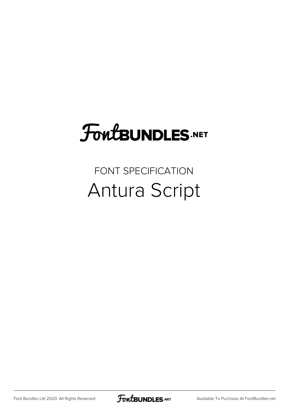## FoutBUNDLES.NET

## FONT SPECIFICATION Antura Script

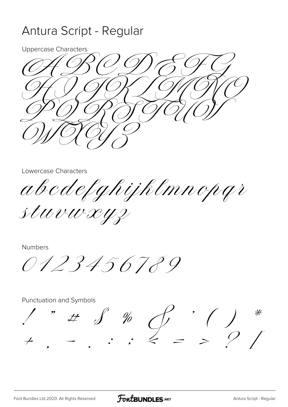## Antura Script - Regular

**Uppercase Characters** 

Lowercase Characters

abcdefghijklmnopqr

stuvuxyz

**Numbers** 

0123456789

Punctuation and Symbols

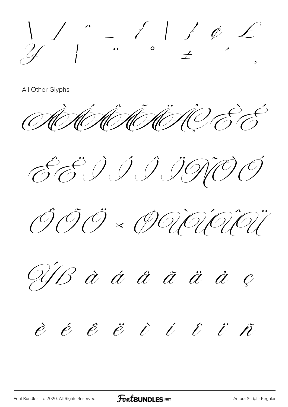$\frac{1}{4}$  / " (1) ( E)

All Other Glyphs

AD HOMINAC E É

EEIIIIDO

ÔÕÖ × PRIRIRI

US à á å ã ä ä e

## $\dot{e}$   $\dot{e}$   $\ddot{e}$   $\dot{c}$   $\dot{c}$   $\dot{c}$   $\ddot{c}$   $\ddot{r}$

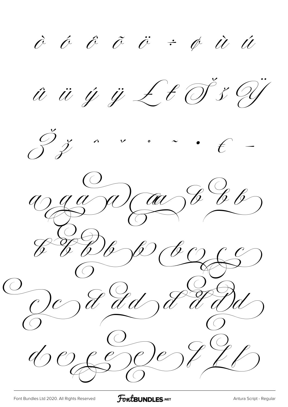$\hat{c}$   $\hat{c}$   $\hat{c}$   $\hat{c}$   $\hat{c}$   $\div$   $\hat{\phi}$   $\hat{u}$   $\hat{u}$ û ü ý ÿ £ t d"š  $\mathcal{C}_{\mathcal{C}_{\mathcal{C}}}$  $\overline{a}$  $\mathcal{C}$  $\sum_{i=1}^{n}$  $\circ$  $\begin{array}{c} \mathscr{C} \mathscr{C} \mathscr{C} \end{array}$ Je) Cac  $\mathscr{U}$  $\overrightarrow{b}$  $\overline{\mathscr{C}}$  $\cancel{\mathscr{O}}$  $\hat{f}$  dd  $\neg e$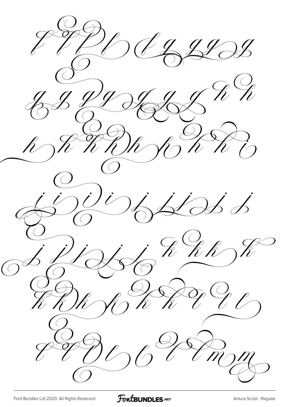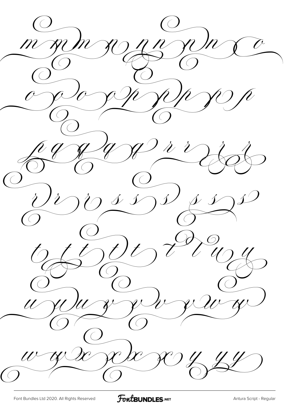m m m zo n n zo n x o o y so y y y y y p  $\frac{10}{9}$  of  $\frac{10}{9}$  of  $\frac{10}{9}$  of  $\frac{10}{9}$  $U^{\gamma}\mathcal{O}$  s s  $\mathcal{O}$  s s  $\mathcal{O}$  $\mathcal{L}(\mathcal{L})$ U JUUS JU JU JU Y w wie sele so y y y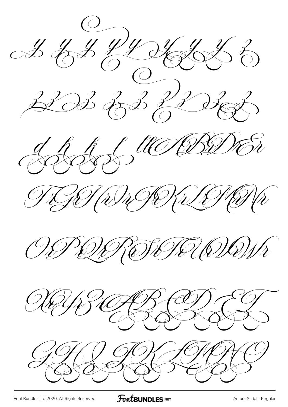